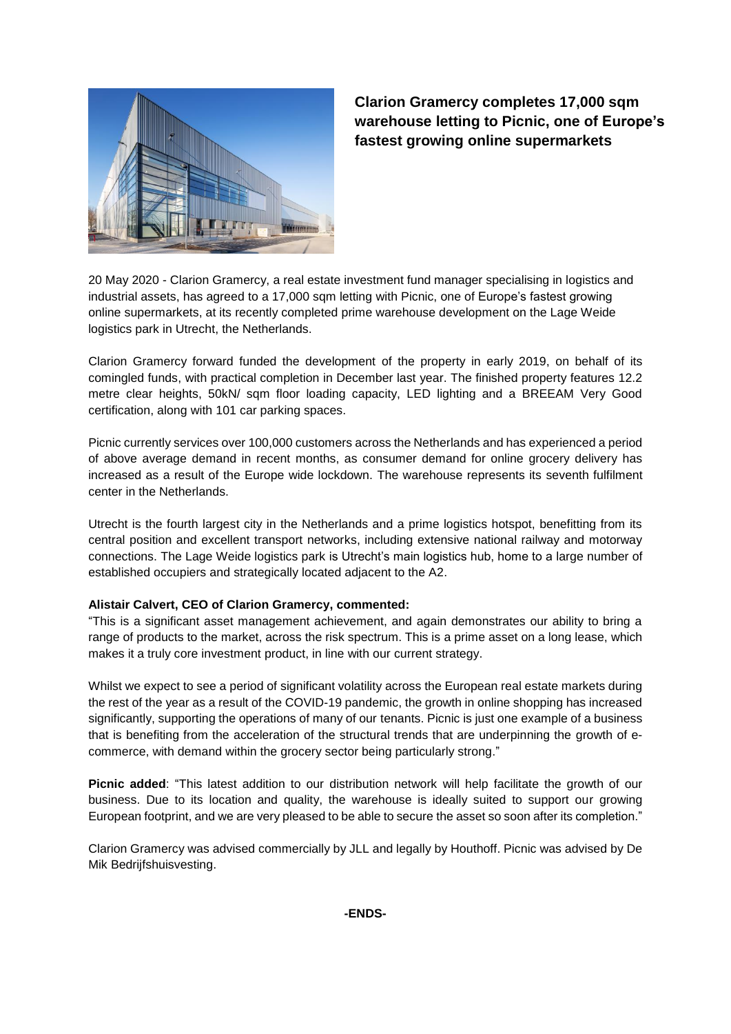

**Clarion Gramercy completes 17,000 sqm warehouse letting to Picnic, one of Europe's fastest growing online supermarkets**

20 May 2020 - Clarion Gramercy, a real estate investment fund manager specialising in logistics and industrial assets, has agreed to a 17,000 sqm letting with Picnic, one of Europe's fastest growing online supermarkets, at its recently completed prime warehouse development on the Lage Weide logistics park in Utrecht, the Netherlands.

Clarion Gramercy forward funded the development of the property in early 2019, on behalf of its comingled funds, with practical completion in December last year. The finished property features 12.2 metre clear heights, 50kN/ sqm floor loading capacity, LED lighting and a BREEAM Very Good certification, along with 101 car parking spaces.

Picnic currently services over 100,000 customers across the Netherlands and has experienced a period of above average demand in recent months, as consumer demand for online grocery delivery has increased as a result of the Europe wide lockdown. The warehouse represents its seventh fulfilment center in the Netherlands.

Utrecht is the fourth largest city in the Netherlands and a prime logistics hotspot, benefitting from its central position and excellent transport networks, including extensive national railway and motorway connections. The Lage Weide logistics park is Utrecht's main logistics hub, home to a large number of established occupiers and strategically located adjacent to the A2.

## **Alistair Calvert, CEO of Clarion Gramercy, commented:**

"This is a significant asset management achievement, and again demonstrates our ability to bring a range of products to the market, across the risk spectrum. This is a prime asset on a long lease, which makes it a truly core investment product, in line with our current strategy.

Whilst we expect to see a period of significant volatility across the European real estate markets during the rest of the year as a result of the COVID-19 pandemic, the growth in online shopping has increased significantly, supporting the operations of many of our tenants. Picnic is just one example of a business that is benefiting from the acceleration of the structural trends that are underpinning the growth of ecommerce, with demand within the grocery sector being particularly strong."

**Picnic added**: "This latest addition to our distribution network will help facilitate the growth of our business. Due to its location and quality, the warehouse is ideally suited to support our growing European footprint, and we are very pleased to be able to secure the asset so soon after its completion."

Clarion Gramercy was advised commercially by JLL and legally by Houthoff. Picnic was advised by De Mik Bedrijfshuisvesting.

**-ENDS-**